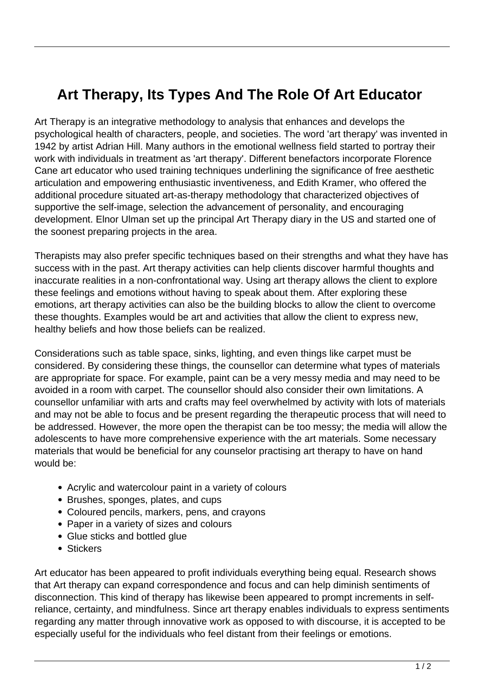## **Art Therapy, Its Types And The Role Of Art Educator**

Art Therapy is an integrative methodology to analysis that enhances and develops the psychological health of characters, people, and societies. The word 'art therapy' was invented in 1942 by artist Adrian Hill. Many authors in the emotional wellness field started to portray their work with individuals in treatment as 'art therapy'. Different benefactors incorporate Florence Cane art educator who used training techniques underlining the significance of free aesthetic articulation and empowering enthusiastic inventiveness, and Edith Kramer, who offered the additional procedure situated art-as-therapy methodology that characterized objectives of supportive the self-image, selection the advancement of personality, and encouraging development. Elnor Ulman set up the principal Art Therapy diary in the US and started one of the soonest preparing projects in the area.

Therapists may also prefer specific techniques based on their strengths and what they have has success with in the past. Art therapy activities can help clients discover harmful thoughts and inaccurate realities in a non-confrontational way. Using art therapy allows the client to explore these feelings and emotions without having to speak about them. After exploring these emotions, art therapy activities can also be the building blocks to allow the client to overcome these thoughts. Examples would be art and activities that allow the client to express new, healthy beliefs and how those beliefs can be realized.

Considerations such as table space, sinks, lighting, and even things like carpet must be considered. By considering these things, the counsellor can determine what types of materials are appropriate for space. For example, paint can be a very messy media and may need to be avoided in a room with carpet. The counsellor should also consider their own limitations. A counsellor unfamiliar with arts and crafts may feel overwhelmed by activity with lots of materials and may not be able to focus and be present regarding the therapeutic process that will need to be addressed. However, the more open the therapist can be too messy; the media will allow the adolescents to have more comprehensive experience with the art materials. Some necessary materials that would be beneficial for any counselor practising art therapy to have on hand would be:

- Acrylic and watercolour paint in a variety of colours
- Brushes, sponges, plates, and cups
- Coloured pencils, markers, pens, and crayons
- Paper in a variety of sizes and colours
- Glue sticks and bottled glue
- Stickers

Art educator has been appeared to profit individuals everything being equal. Research shows that Art therapy can expand correspondence and focus and can help diminish sentiments of disconnection. This kind of therapy has likewise been appeared to prompt increments in selfreliance, certainty, and mindfulness. Since art therapy enables individuals to express sentiments regarding any matter through innovative work as opposed to with discourse, it is accepted to be especially useful for the individuals who feel distant from their feelings or emotions.